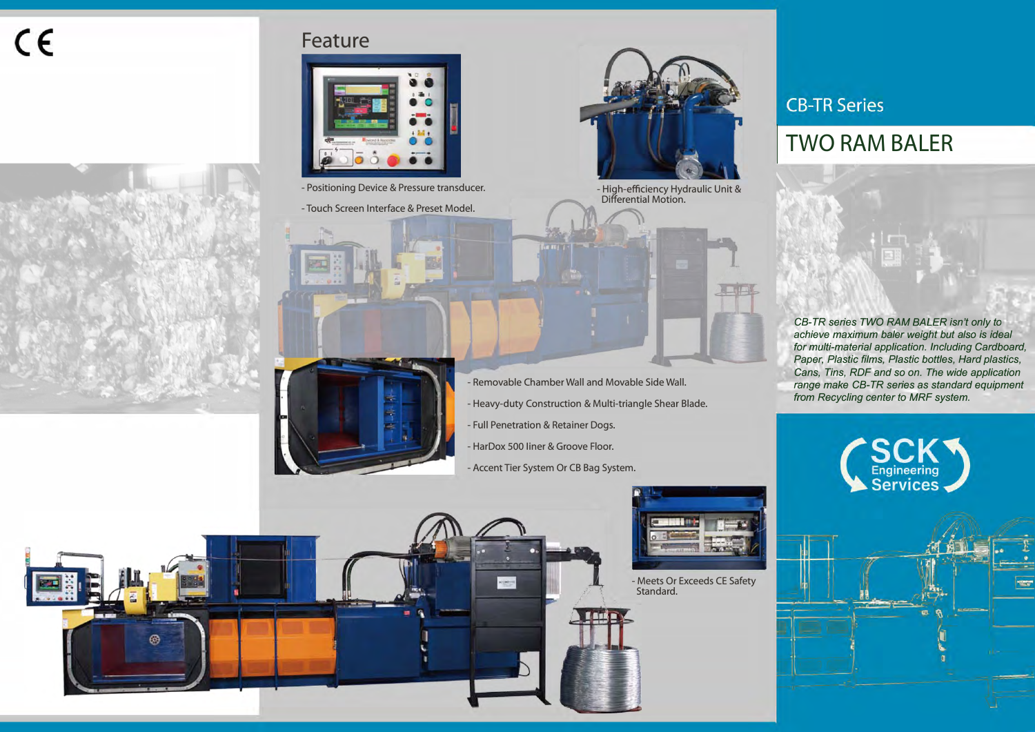# $C \in$



### **Feature**







- 
- Touch Screen Interface & Preset Model.

- Removable Chamber Wall and Movable Side Wall.

- Heavy-duty Construction & Multi-triangle Shear Blade.
- Full Penetration & Retainer Dogs.
- HarDox 500 liner & Groove Floor.

 $\cos\theta$ 

- Accent Tier System Or CB Bag System.



- Meets Or Exceeds CE Safety Standard.

## **CB-TR Series**

# **TWO RAM BALER**

*CB-TR series TWO RAM BALER isn't only to achieve maximum baler weight but also is ideal for multi-material application. Including Cardboard, Paper, Plastic films, Plastic bottles, Hard plastics, Cans, Tins, RDF and so on. The wide application range make CB-TR series as standard equipment from Recycling center to MRF system.*